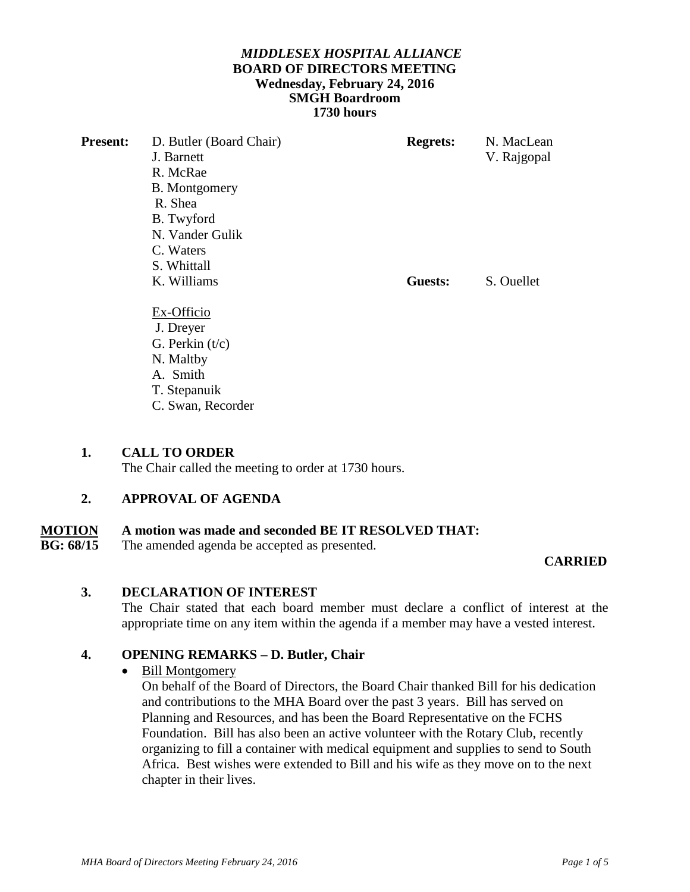## *MIDDLESEX HOSPITAL ALLIANCE*  **BOARD OF DIRECTORS MEETING Wednesday, February 24, 2016 SMGH Boardroom 1730 hours**

| <b>Present:</b> | D. Butler (Board Chair) | <b>Regrets:</b> | N. MacLean  |
|-----------------|-------------------------|-----------------|-------------|
|                 | J. Barnett              |                 | V. Rajgopal |
|                 | R. McRae                |                 |             |
|                 | B. Montgomery           |                 |             |
|                 | R. Shea                 |                 |             |
|                 | B. Twyford              |                 |             |
|                 | N. Vander Gulik         |                 |             |
|                 | C. Waters               |                 |             |
|                 | S. Whittall             |                 |             |
|                 | K. Williams             | Guests:         | S. Ouellet  |
|                 | Ex-Officio              |                 |             |
|                 | J. Dreyer               |                 |             |
|                 | G. Perkin $(t/c)$       |                 |             |
|                 | N. Maltby               |                 |             |
|                 | A. Smith                |                 |             |
|                 | T. Stepanuik            |                 |             |
|                 | C. Swan, Recorder       |                 |             |

## **1. CALL TO ORDER**

The Chair called the meeting to order at 1730 hours.

## **2. APPROVAL OF AGENDA**

# **MOTION** A motion was made and seconded BE IT RESOLVED THAT:<br>RG·68/15 The amended agenda be accented as presented.

The amended agenda be accepted as presented.

## **CARRIED**

## **3. DECLARATION OF INTEREST**

The Chair stated that each board member must declare a conflict of interest at the appropriate time on any item within the agenda if a member may have a vested interest.

## **4. OPENING REMARKS – D. Butler, Chair**

## • Bill Montgomery

On behalf of the Board of Directors, the Board Chair thanked Bill for his dedication and contributions to the MHA Board over the past 3 years. Bill has served on Planning and Resources, and has been the Board Representative on the FCHS Foundation. Bill has also been an active volunteer with the Rotary Club, recently organizing to fill a container with medical equipment and supplies to send to South Africa. Best wishes were extended to Bill and his wife as they move on to the next chapter in their lives.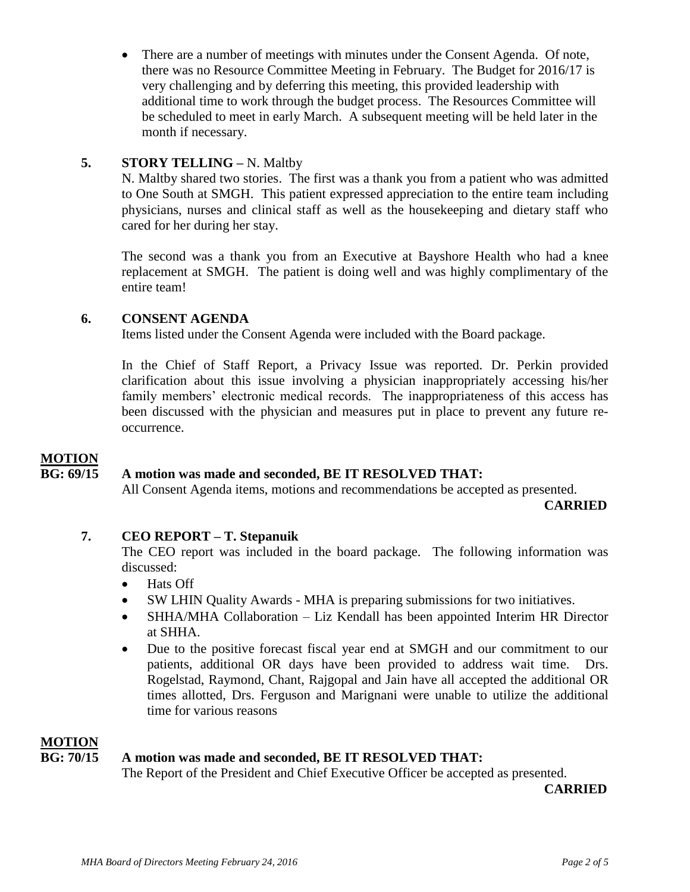There are a number of meetings with minutes under the Consent Agenda. Of note, there was no Resource Committee Meeting in February. The Budget for 2016/17 is very challenging and by deferring this meeting, this provided leadership with additional time to work through the budget process. The Resources Committee will be scheduled to meet in early March. A subsequent meeting will be held later in the month if necessary.

## **5. STORY TELLING –** N. Maltby

N. Maltby shared two stories. The first was a thank you from a patient who was admitted to One South at SMGH. This patient expressed appreciation to the entire team including physicians, nurses and clinical staff as well as the housekeeping and dietary staff who cared for her during her stay.

The second was a thank you from an Executive at Bayshore Health who had a knee replacement at SMGH. The patient is doing well and was highly complimentary of the entire team!

## **6. CONSENT AGENDA**

Items listed under the Consent Agenda were included with the Board package.

In the Chief of Staff Report, a Privacy Issue was reported. Dr. Perkin provided clarification about this issue involving a physician inappropriately accessing his/her family members' electronic medical records. The inappropriateness of this access has been discussed with the physician and measures put in place to prevent any future reoccurrence.

## **MOTION**

## **BG: 69/15 A motion was made and seconded, BE IT RESOLVED THAT:**

All Consent Agenda items, motions and recommendations be accepted as presented.

 **CARRIED**

## **7. CEO REPORT – T. Stepanuik**

The CEO report was included in the board package. The following information was discussed:

- Hats Off
- SW LHIN Quality Awards MHA is preparing submissions for two initiatives.
- SHHA/MHA Collaboration Liz Kendall has been appointed Interim HR Director at SHHA.
- Due to the positive forecast fiscal year end at SMGH and our commitment to our patients, additional OR days have been provided to address wait time. Drs. Rogelstad, Raymond, Chant, Rajgopal and Jain have all accepted the additional OR times allotted, Drs. Ferguson and Marignani were unable to utilize the additional time for various reasons

## **MOTION**

## **BG: 70/15 A motion was made and seconded, BE IT RESOLVED THAT:**

The Report of the President and Chief Executive Officer be accepted as presented.

 **CARRIED**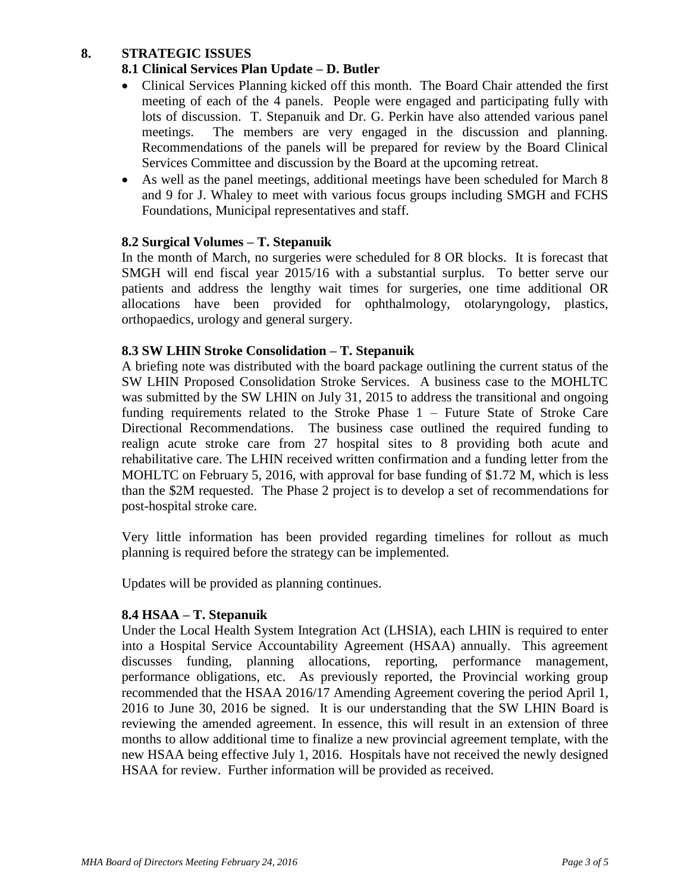## **8. STRATEGIC ISSUES**

## **8.1 Clinical Services Plan Update – D. Butler**

- Clinical Services Planning kicked off this month. The Board Chair attended the first meeting of each of the 4 panels. People were engaged and participating fully with lots of discussion. T. Stepanuik and Dr. G. Perkin have also attended various panel meetings. The members are very engaged in the discussion and planning. Recommendations of the panels will be prepared for review by the Board Clinical Services Committee and discussion by the Board at the upcoming retreat.
- As well as the panel meetings, additional meetings have been scheduled for March 8 and 9 for J. Whaley to meet with various focus groups including SMGH and FCHS Foundations, Municipal representatives and staff.

## **8.2 Surgical Volumes – T. Stepanuik**

In the month of March, no surgeries were scheduled for 8 OR blocks. It is forecast that SMGH will end fiscal year 2015/16 with a substantial surplus. To better serve our patients and address the lengthy wait times for surgeries, one time additional OR allocations have been provided for ophthalmology, otolaryngology, plastics, orthopaedics, urology and general surgery.

## **8.3 SW LHIN Stroke Consolidation – T. Stepanuik**

A briefing note was distributed with the board package outlining the current status of the SW LHIN Proposed Consolidation Stroke Services. A business case to the MOHLTC was submitted by the SW LHIN on July 31, 2015 to address the transitional and ongoing funding requirements related to the Stroke Phase 1 – Future State of Stroke Care Directional Recommendations. The business case outlined the required funding to realign acute stroke care from 27 hospital sites to 8 providing both acute and rehabilitative care. The LHIN received written confirmation and a funding letter from the MOHLTC on February 5, 2016, with approval for base funding of \$1.72 M, which is less than the \$2M requested. The Phase 2 project is to develop a set of recommendations for post-hospital stroke care.

Very little information has been provided regarding timelines for rollout as much planning is required before the strategy can be implemented.

Updates will be provided as planning continues.

## **8.4 HSAA – T. Stepanuik**

Under the Local Health System Integration Act (LHSIA), each LHIN is required to enter into a Hospital Service Accountability Agreement (HSAA) annually. This agreement discusses funding, planning allocations, reporting, performance management, performance obligations, etc. As previously reported, the Provincial working group recommended that the HSAA 2016/17 Amending Agreement covering the period April 1, 2016 to June 30, 2016 be signed. It is our understanding that the SW LHIN Board is reviewing the amended agreement. In essence, this will result in an extension of three months to allow additional time to finalize a new provincial agreement template, with the new HSAA being effective July 1, 2016. Hospitals have not received the newly designed HSAA for review. Further information will be provided as received.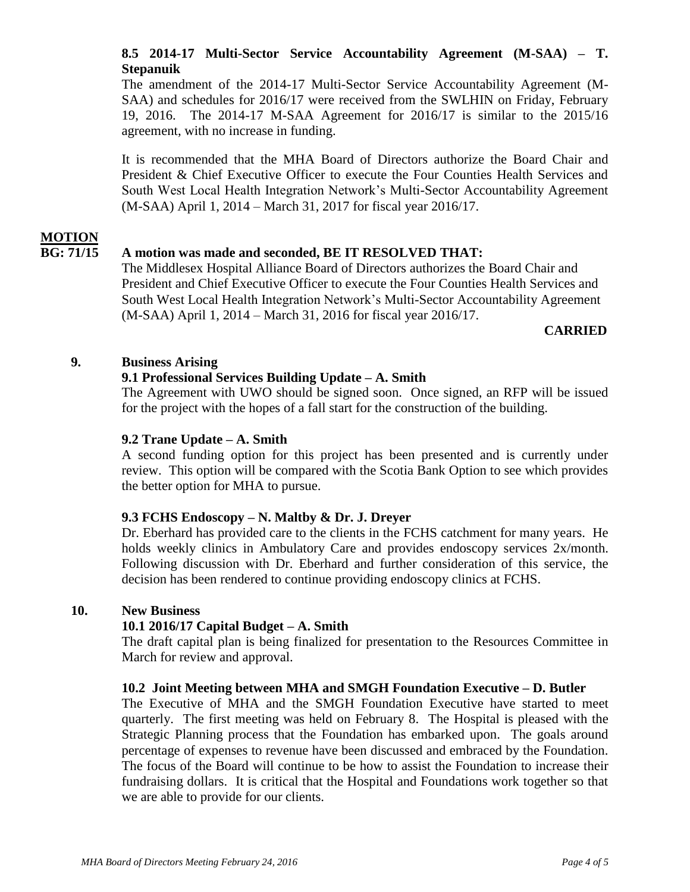## **8.5 2014-17 Multi-Sector Service Accountability Agreement (M-SAA) – T. Stepanuik**

The amendment of the 2014-17 Multi-Sector Service Accountability Agreement (M-SAA) and schedules for 2016/17 were received from the SWLHIN on Friday, February 19, 2016. The 2014-17 M-SAA Agreement for 2016/17 is similar to the 2015/16 agreement, with no increase in funding.

It is recommended that the MHA Board of Directors authorize the Board Chair and President & Chief Executive Officer to execute the Four Counties Health Services and South West Local Health Integration Network's Multi-Sector Accountability Agreement (M-SAA) April 1, 2014 – March 31, 2017 for fiscal year 2016/17.

## **MOTION**

## **BG: 71/15 A motion was made and seconded, BE IT RESOLVED THAT:**

The Middlesex Hospital Alliance Board of Directors authorizes the Board Chair and President and Chief Executive Officer to execute the Four Counties Health Services and South West Local Health Integration Network's Multi-Sector Accountability Agreement (M-SAA) April 1, 2014 – March 31, 2016 for fiscal year 2016/17.

#### **CARRIED**

## **9. Business Arising**

## **9.1 Professional Services Building Update – A. Smith**

The Agreement with UWO should be signed soon. Once signed, an RFP will be issued for the project with the hopes of a fall start for the construction of the building.

## **9.2 Trane Update – A. Smith**

A second funding option for this project has been presented and is currently under review. This option will be compared with the Scotia Bank Option to see which provides the better option for MHA to pursue.

## **9.3 FCHS Endoscopy – N. Maltby & Dr. J. Dreyer**

Dr. Eberhard has provided care to the clients in the FCHS catchment for many years. He holds weekly clinics in Ambulatory Care and provides endoscopy services 2x/month. Following discussion with Dr. Eberhard and further consideration of this service, the decision has been rendered to continue providing endoscopy clinics at FCHS.

## **10. New Business**

## **10.1 2016/17 Capital Budget – A. Smith**

The draft capital plan is being finalized for presentation to the Resources Committee in March for review and approval.

#### **10.2 Joint Meeting between MHA and SMGH Foundation Executive – D. Butler**

The Executive of MHA and the SMGH Foundation Executive have started to meet quarterly. The first meeting was held on February 8. The Hospital is pleased with the Strategic Planning process that the Foundation has embarked upon. The goals around percentage of expenses to revenue have been discussed and embraced by the Foundation. The focus of the Board will continue to be how to assist the Foundation to increase their fundraising dollars. It is critical that the Hospital and Foundations work together so that we are able to provide for our clients.